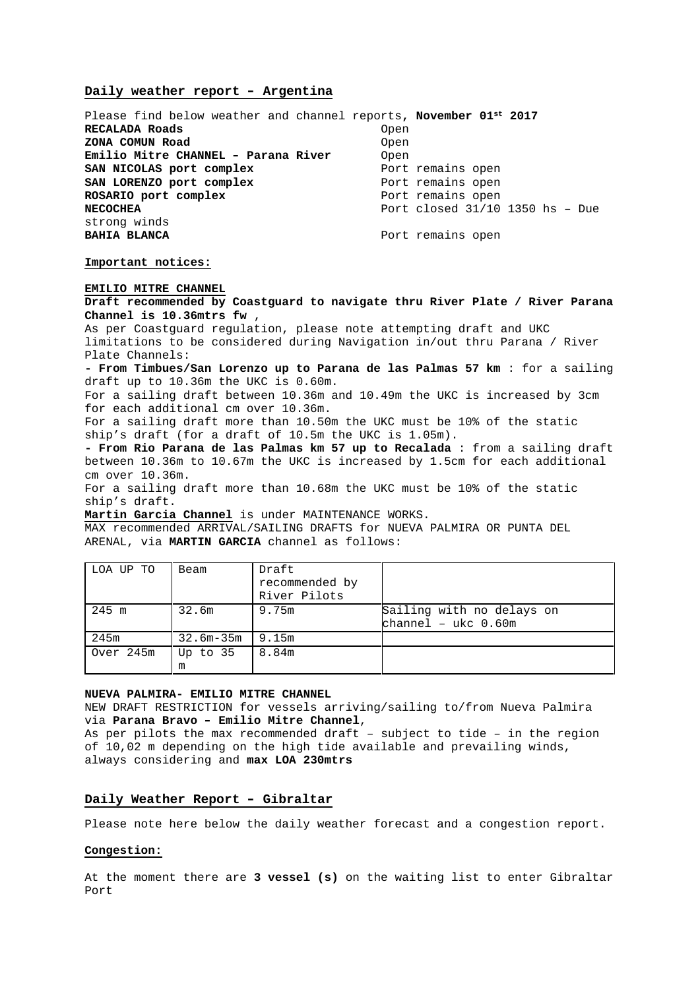### **Daily weather report – Argentina**

Please find below weather and channel reports**, November 01st 2017 RECALADA Roads** Open **ZONA COMUN Road** Open **Emilio Mitre CHANNEL - Parana River** Open<br> **SAN NICOLAS port complex** Port remains open SAN NICOLAS port complex **SAN LORENZO port complex** Port remains open **ROSARIO port complex** Port remains open **NECOCHEA** Port closed 31/10 1350 hs – Due strong winds **BAHIA BLANCA** Port remains open

### **Important notices:**

### **EMILIO MITRE CHANNEL**

**Draft recommended by Coastguard to navigate thru River Plate / River Parana Channel is 10.36mtrs fw** ,

As per Coastguard regulation, please note attempting draft and UKC limitations to be considered during Navigation in/out thru Parana / River Plate Channels:

**- From Timbues/San Lorenzo up to Parana de las Palmas 57 km** : for a sailing draft up to 10.36m the UKC is 0.60m.

For a sailing draft between 10.36m and 10.49m the UKC is increased by 3cm for each additional cm over 10.36m.

For a sailing draft more than 10.50m the UKC must be 10% of the static ship's draft (for a draft of 10.5m the UKC is 1.05m).

**- From Rio Parana de las Palmas km 57 up to Recalada** : from a sailing draft between 10.36m to 10.67m the UKC is increased by 1.5cm for each additional cm over 10.36m.

For a sailing draft more than 10.68m the UKC must be 10% of the static ship's draft.

**Martin Garcia Channel** is under MAINTENANCE WORKS.

MAX recommended ARRIVAL/SAILING DRAFTS for NUEVA PALMIRA OR PUNTA DEL ARENAL, via **MARTIN GARCIA** channel as follows:

| LOA UP TO | Beam          | Draft          |                           |
|-----------|---------------|----------------|---------------------------|
|           |               | recommended by |                           |
|           |               | River Pilots   |                           |
| 245 m     | 32.6m         | 9.75m          | Sailing with no delays on |
|           |               |                | $channel - ukc 0.60m$     |
| 245m      | $32.6m - 35m$ | 9.15m          |                           |
| Over 245m | Up to $35$    | 8.84m          |                           |
|           | m             |                |                           |

### **NUEVA PALMIRA- EMILIO MITRE CHANNEL**

NEW DRAFT RESTRICTION for vessels arriving/sailing to/from Nueva Palmira via **Parana Bravo – Emilio Mitre Channel**,

As per pilots the max recommended draft – subject to tide – in the region of 10,02 m depending on the high tide available and prevailing winds, always considering and **max LOA 230mtrs**

### **Daily Weather Report – Gibraltar**

Please note here below the daily weather forecast and a congestion report.

# **Congestion:**

At the moment there are **3 vessel (s)** on the waiting list to enter Gibraltar Port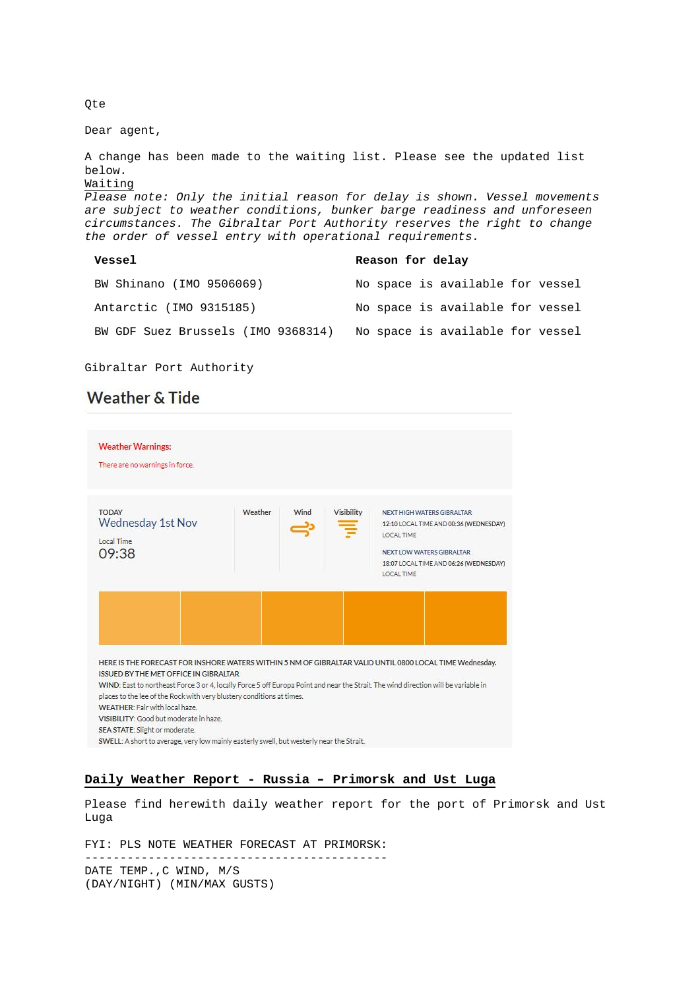Qte

Dear agent,

A change has been made to the waiting list. Please see the updated list below. Waiting Please note: Only the initial reason for delay is shown. Vessel movements are subject to weather conditions, bunker barge readiness and unforeseen circumstances. The Gibraltar Port Authority reserves the right to change the order of vessel entry with operational requirements. **Vessel Reason for delay**

| BW Shinano (IMO 9506069)           | No space is available for vessel |
|------------------------------------|----------------------------------|
| Antarctic (IMO 9315185)            | No space is available for vessel |
| BW GDF Suez Brussels (IMO 9368314) | No space is available for vessel |

Gibraltar Port Authority

# **Weather & Tide**

| <b>Weather Warnings:</b><br>There are no warnings in force.                                                                                             |         |      |            |                                                                                                                                                                         |
|---------------------------------------------------------------------------------------------------------------------------------------------------------|---------|------|------------|-------------------------------------------------------------------------------------------------------------------------------------------------------------------------|
| <b>TODAY</b><br><b>Wednesday 1st Nov</b><br>Local Time<br>09:38                                                                                         | Weather | Wind | Visibility | NEXT HIGH WATERS GIBRALTAR<br>12:10 LOCAL TIME AND 00:36 (WEDNESDAY)<br>LOCAL TIME<br>NEXT LOW WATERS GIBRALTAR<br>18:07 LOCAL TIME AND 06:26 (WEDNESDAY)<br>LOCAL TIME |
|                                                                                                                                                         |         |      |            |                                                                                                                                                                         |
| HERE IS THE FORECAST FOR INSHORE WATERS WITHIN 5 NM OF GIBRALTAR VALID UNTIL 0800 LOCAL TIME Wednesday.<br><b>ISSUED BY THE MET OFFICE IN GIBRALTAR</b> |         |      |            |                                                                                                                                                                         |

# **Daily Weather Report - Russia – Primorsk and Ust Luga**

-------------------------------------------

Please find herewith daily weather report for the port of Primorsk and Ust Luga

FYI: PLS NOTE WEATHER FORECAST AT PRIMORSK:

DATE TEMP.,C WIND, M/S (DAY/NIGHT) (MIN/MAX GUSTS)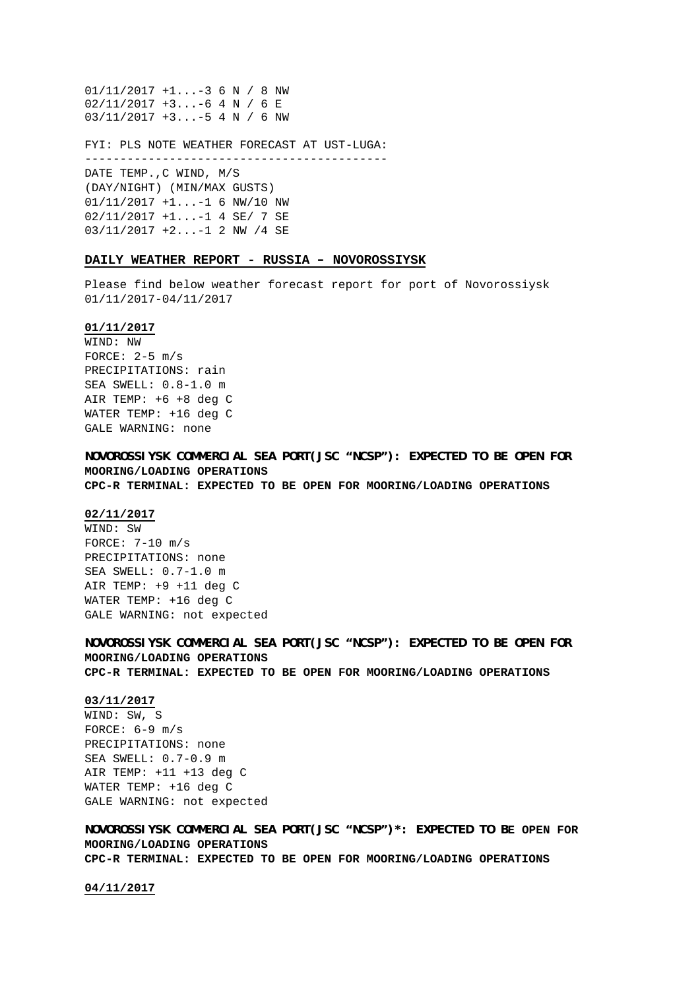01/11/2017 +1...-3 6 N / 8 NW 02/11/2017 +3...-6 4 N / 6 E 03/11/2017 +3...-5 4 N / 6 NW

FYI: PLS NOTE WEATHER FORECAST AT UST-LUGA: -------------------------------------------

DATE TEMP.,C WIND, M/S (DAY/NIGHT) (MIN/MAX GUSTS) 01/11/2017 +1...-1 6 NW/10 NW 02/11/2017 +1...-1 4 SE/ 7 SE 03/11/2017 +2...-1 2 NW /4 SE

### **DAILY WEATHER REPORT - RUSSIA – NOVOROSSIYSK**

Please find below weather forecast report for port of Novorossiysk 01/11/2017-04/11/2017

# **01/11/2017**

WIND: NW FORCE:  $2-5$  m/s PRECIPITATIONS: rain SEA SWELL: 0.8-1.0 m AIR TEMP: +6 +8 deg C WATER TEMP: +16 deg C GALE WARNING: none

**NOVOROSSIYSK COMMERCIAL SEA PORT(JSC "NCSP"): EXPECTED TO BE OPEN FOR MOORING/LOADING OPERATIONS CPC-R TERMINAL: EXPECTED TO BE OPEN FOR MOORING/LOADING OPERATIONS**

#### **02/11/2017**

WIND: SW FORCE: 7-10 m/s PRECIPITATIONS: none SEA SWELL: 0.7-1.0 m AIR TEMP: +9 +11 deg C WATER TEMP: +16 deg C GALE WARNING: not expected

**NOVOROSSIYSK COMMERCIAL SEA PORT(JSC "NCSP"): EXPECTED TO BE OPEN FOR MOORING/LOADING OPERATIONS CPC-R TERMINAL: EXPECTED TO BE OPEN FOR MOORING/LOADING OPERATIONS**

### **03/11/2017**

WIND: SW, S FORCE:  $6-9$  m/s PRECIPITATIONS: none SEA SWELL: 0.7-0.9 m AIR TEMP: +11 +13 deg C WATER TEMP: +16 deg C GALE WARNING: not expected

**NOVOROSSIYSK COMMERCIAL SEA PORT(JSC "NCSP")\*: EXPECTED TO BE OPEN FOR MOORING/LOADING OPERATIONS CPC-R TERMINAL: EXPECTED TO BE OPEN FOR MOORING/LOADING OPERATIONS**

**04/11/2017**